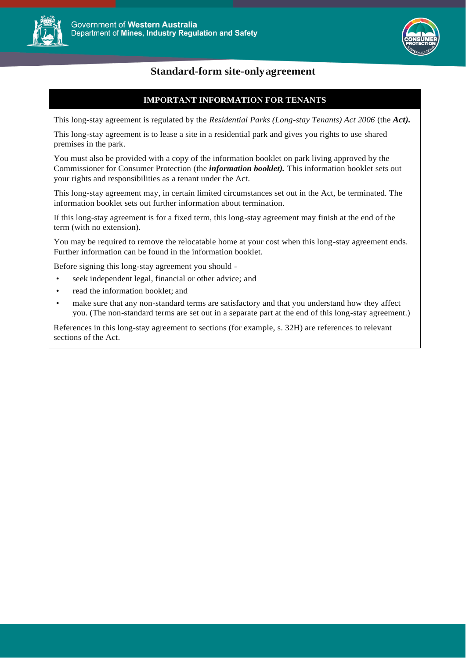



# **Standard-form site-onlyagreement**

## **IMPORTANT INFORMATION FOR TENANTS**

This long-stay agreement is regulated by the *Residential Parks (Long-stay Tenants) Act 2006* (the *Act).*

This long-stay agreement is to lease a site in a residential park and gives you rights to use shared premises in the park.

You must also be provided with a copy of the information booklet on park living approved by the Commissioner for Consumer Protection (the *information booklet).* This information booklet sets out your rights and responsibilities as a tenant under the Act.

This long-stay agreement may, in certain limited circumstances set out in the Act, be terminated. The information booklet sets out further information about termination.

If this long-stay agreement is for a fixed term, this long-stay agreement may finish at the end of the term (with no extension).

You may be required to remove the relocatable home at your cost when this long-stay agreement ends. Further information can be found in the information booklet.

Before signing this long-stay agreement you should -

- seek independent legal, financial or other advice; and
- read the information booklet; and
- make sure that any non-standard terms are satisfactory and that you understand how they affect you. (The non-standard terms are set out in a separate part at the end of this long-stay agreement.)

References in this long-stay agreement to sections (for example, s. 32H) are references to relevant sections of the Act.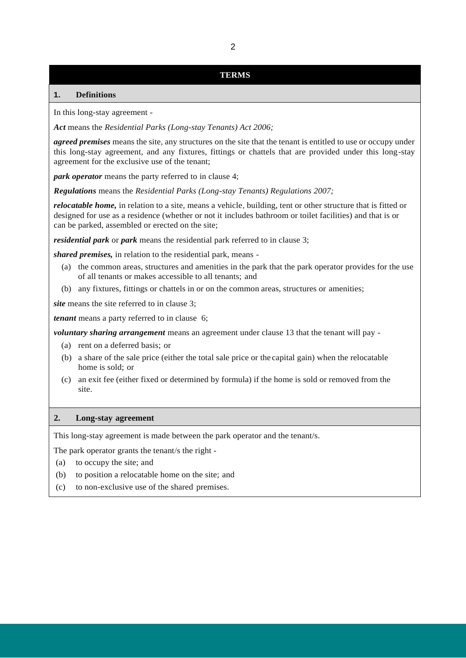## **TERMS**

## **1. Definitions**

In this long-stay agreement -

*Act* means the *Residential Parks (Long-stay Tenants) Act 2006;*

*agreed premises* means the site, any structures on the site that the tenant is entitled to use or occupy under this long-stay agreement, and any fixtures, fittings or chattels that are provided under this long-stay agreement for the exclusive use of the tenant;

*park operator* means the party referred to in clause 4;

*Regulations* means the *Residential Parks (Long-stay Tenants) Regulations 2007;*

*relocatable home,* in relation to a site, means a vehicle, building, tent or other structure that is fitted or designed for use as a residence (whether or not it includes bathroom or toilet facilities) and that is or can be parked, assembled or erected on the site;

*residential park* or *park* means the residential park referred to in clause 3;

*shared premises,* in relation to the residential park, means -

- (a) the common areas, structures and amenities in the park that the park operator provides for the use of all tenants or makes accessible to all tenants; and
- (b) any fixtures, fittings or chattels in or on the common areas, structures or amenities;

site means the site referred to in clause 3;

*tenant* means a party referred to in clause 6;

*voluntary sharing arrangement* means an agreement under clause 13 that the tenant will pay -

- (a) rent on a deferred basis; or
- (b) a share of the sale price (either the total sale price or the capital gain) when the relocatable home is sold; or
- (c) an exit fee (either fixed or determined by formula) if the home is sold or removed from the site.

### **2. Long-stay agreement**

This long-stay agreement is made between the park operator and the tenant/s.

The park operator grants the tenant/s the right -

- (a) to occupy the site; and
- (b) to position a relocatable home on the site; and
- (c) to non-exclusive use of the shared premises.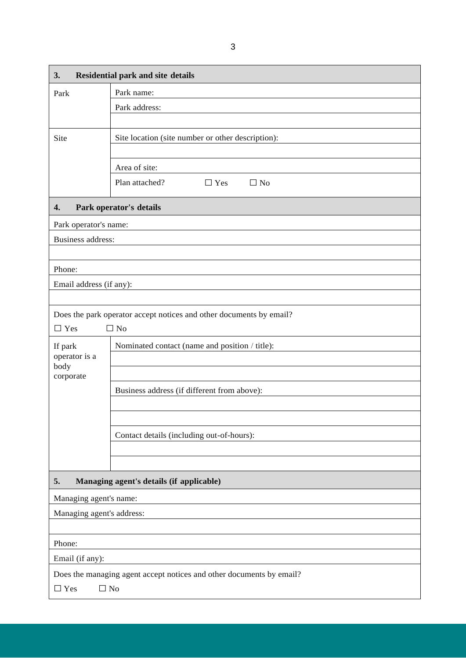| 3.                                                                   | <b>Residential park and site details</b>                            |  |
|----------------------------------------------------------------------|---------------------------------------------------------------------|--|
| Park                                                                 | Park name:                                                          |  |
|                                                                      | Park address:                                                       |  |
|                                                                      |                                                                     |  |
| Site                                                                 | Site location (site number or other description):                   |  |
|                                                                      |                                                                     |  |
|                                                                      | Area of site:                                                       |  |
|                                                                      | Plan attached?<br>$\Box$ No<br>$\Box$ Yes                           |  |
| 4.                                                                   | Park operator's details                                             |  |
| Park operator's name:                                                |                                                                     |  |
| <b>Business address:</b>                                             |                                                                     |  |
|                                                                      |                                                                     |  |
| Phone:                                                               |                                                                     |  |
| Email address (if any):                                              |                                                                     |  |
|                                                                      |                                                                     |  |
|                                                                      | Does the park operator accept notices and other documents by email? |  |
| $\Box$ Yes                                                           | $\Box$ No                                                           |  |
| If park<br>operator is a                                             | Nominated contact (name and position / title):                      |  |
| body<br>corporate                                                    |                                                                     |  |
|                                                                      | Business address (if different from above):                         |  |
|                                                                      |                                                                     |  |
|                                                                      |                                                                     |  |
|                                                                      | Contact details (including out-of-hours):                           |  |
|                                                                      |                                                                     |  |
|                                                                      |                                                                     |  |
| 5.<br>Managing agent's details (if applicable)                       |                                                                     |  |
| Managing agent's name:                                               |                                                                     |  |
| Managing agent's address:                                            |                                                                     |  |
|                                                                      |                                                                     |  |
| Phone:                                                               |                                                                     |  |
| Email (if any):                                                      |                                                                     |  |
| Does the managing agent accept notices and other documents by email? |                                                                     |  |
| $\Box$ No<br>$\Box$ Yes                                              |                                                                     |  |
|                                                                      |                                                                     |  |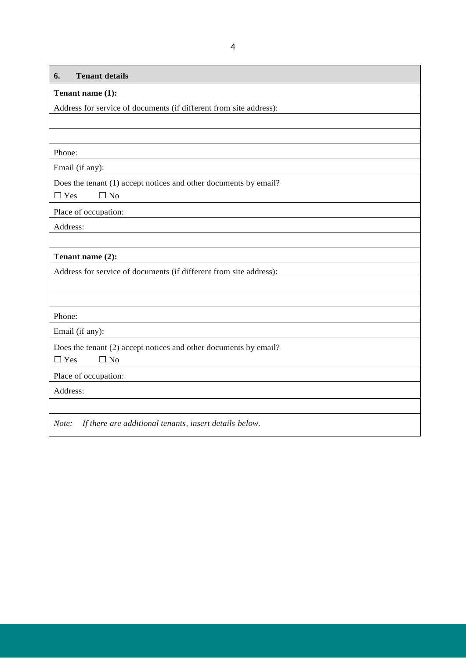| <b>Tenant details</b><br>6.                                        |
|--------------------------------------------------------------------|
| Tenant name (1):                                                   |
| Address for service of documents (if different from site address): |
|                                                                    |
|                                                                    |
| Phone:                                                             |
| Email (if any):                                                    |
| Does the tenant (1) accept notices and other documents by email?   |
| $\Box$ Yes<br>$\Box$ No                                            |
| Place of occupation:                                               |
| Address:                                                           |
|                                                                    |
| Tenant name (2):                                                   |
| Address for service of documents (if different from site address): |
|                                                                    |
|                                                                    |
| Phone:                                                             |
| Email (if any):                                                    |
| Does the tenant (2) accept notices and other documents by email?   |
| $\Box$ Yes<br>$\Box$ No                                            |
| Place of occupation:                                               |
| Address:                                                           |
|                                                                    |
| If there are additional tenants, insert details below.<br>Note:    |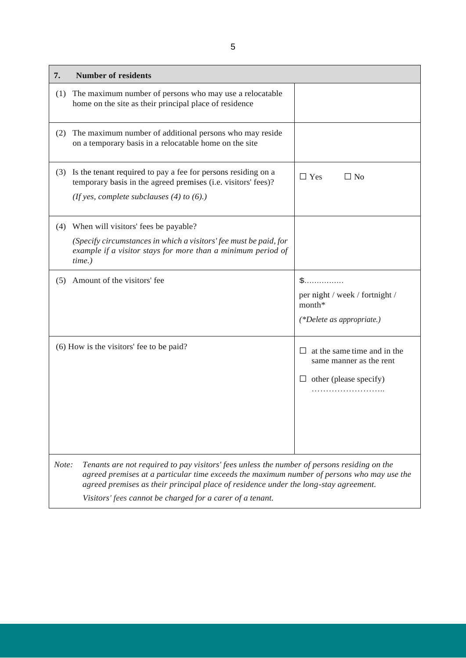| 7.                                       | <b>Number of residents</b>                                                                                                                                                                                                                                                        |                                                                                                       |
|------------------------------------------|-----------------------------------------------------------------------------------------------------------------------------------------------------------------------------------------------------------------------------------------------------------------------------------|-------------------------------------------------------------------------------------------------------|
| (1)                                      | The maximum number of persons who may use a relocatable<br>home on the site as their principal place of residence                                                                                                                                                                 |                                                                                                       |
| (2)                                      | The maximum number of additional persons who may reside<br>on a temporary basis in a relocatable home on the site                                                                                                                                                                 |                                                                                                       |
| (3)                                      | Is the tenant required to pay a fee for persons residing on a<br>temporary basis in the agreed premises (i.e. visitors' fees)?<br>(If yes, complete subclauses $(4)$ to $(6)$ .)                                                                                                  | $\Box$ Yes<br>$\Box$ No                                                                               |
| (4)                                      | When will visitors' fees be payable?                                                                                                                                                                                                                                              |                                                                                                       |
|                                          | (Specify circumstances in which a visitors' fee must be paid, for<br>example if a visitor stays for more than a minimum period of<br>time.)                                                                                                                                       |                                                                                                       |
| (5)                                      | Amount of the visitors' fee                                                                                                                                                                                                                                                       | ${\mathbb S}$<br>per night / week / fortnight /<br>month*<br>$(*Delete as appropriate.)$              |
| (6) How is the visitors' fee to be paid? |                                                                                                                                                                                                                                                                                   | at the same time and in the<br>$\perp$<br>same manner as the rent<br>other (please specify)<br>$\Box$ |
| Note:                                    | Tenants are not required to pay visitors' fees unless the number of persons residing on the<br>agreed premises at a particular time exceeds the maximum number of persons who may use the<br>agreed premises as their principal place of residence under the long-stay agreement. |                                                                                                       |
|                                          | Visitors' fees cannot be charged for a carer of a tenant.                                                                                                                                                                                                                         |                                                                                                       |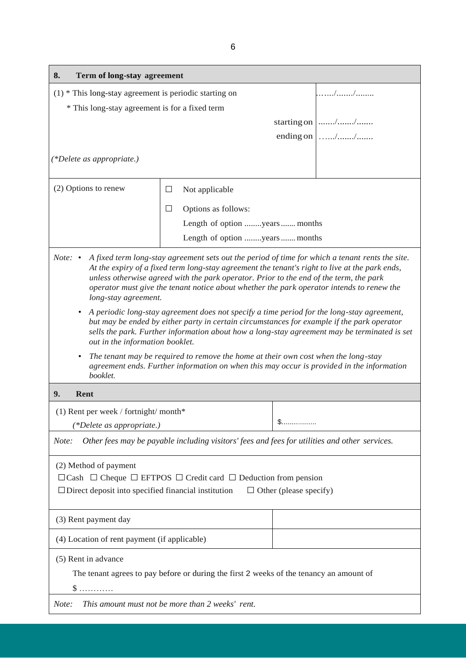| Term of long-stay agreement<br>8.                                                                                                                                                                                                                                                                                                                                                                                                        |                                                          |  |                    |
|------------------------------------------------------------------------------------------------------------------------------------------------------------------------------------------------------------------------------------------------------------------------------------------------------------------------------------------------------------------------------------------------------------------------------------------|----------------------------------------------------------|--|--------------------|
|                                                                                                                                                                                                                                                                                                                                                                                                                                          | $(1)$ * This long-stay agreement is periodic starting on |  |                    |
| * This long-stay agreement is for a fixed term                                                                                                                                                                                                                                                                                                                                                                                           |                                                          |  |                    |
|                                                                                                                                                                                                                                                                                                                                                                                                                                          |                                                          |  | starting on $ $ // |
|                                                                                                                                                                                                                                                                                                                                                                                                                                          |                                                          |  | ending on $ $ //   |
| (*Delete as appropriate.)                                                                                                                                                                                                                                                                                                                                                                                                                |                                                          |  |                    |
| (2) Options to renew                                                                                                                                                                                                                                                                                                                                                                                                                     | $\Box$<br>Not applicable                                 |  |                    |
|                                                                                                                                                                                                                                                                                                                                                                                                                                          | $\Box$<br>Options as follows:                            |  |                    |
|                                                                                                                                                                                                                                                                                                                                                                                                                                          | Length of option years  months                           |  |                    |
|                                                                                                                                                                                                                                                                                                                                                                                                                                          | Length of option years  months                           |  |                    |
| <i>Note:</i> $\cdot$<br>A fixed term long-stay agreement sets out the period of time for which a tenant rents the site.<br>At the expiry of a fixed term long-stay agreement the tenant's right to live at the park ends,<br>unless otherwise agreed with the park operator. Prior to the end of the term, the park<br>operator must give the tenant notice about whether the park operator intends to renew the<br>long-stay agreement. |                                                          |  |                    |
| A periodic long-stay agreement does not specify a time period for the long-stay agreement,<br>$\bullet$<br>but may be ended by either party in certain circumstances for example if the park operator<br>sells the park. Further information about how a long-stay agreement may be terminated is set<br>out in the information booklet.                                                                                                 |                                                          |  |                    |
| The tenant may be required to remove the home at their own cost when the long-stay<br>agreement ends. Further information on when this may occur is provided in the information<br>booklet.                                                                                                                                                                                                                                              |                                                          |  |                    |
| 9.<br>Rent                                                                                                                                                                                                                                                                                                                                                                                                                               |                                                          |  |                    |
| (1) Rent per week / fortnight/ month*                                                                                                                                                                                                                                                                                                                                                                                                    |                                                          |  |                    |
| (*Delete as appropriate.)                                                                                                                                                                                                                                                                                                                                                                                                                |                                                          |  |                    |
| Other fees may be payable including visitors' fees and fees for utilities and other services.<br>Note:                                                                                                                                                                                                                                                                                                                                   |                                                          |  |                    |
| (2) Method of payment<br>$\Box$ Cash $\Box$ Cheque $\Box$ EFTPOS $\Box$ Credit card $\Box$ Deduction from pension<br>$\Box$ Direct deposit into specified financial institution<br>$\Box$ Other (please specify)                                                                                                                                                                                                                         |                                                          |  |                    |
| (3) Rent payment day                                                                                                                                                                                                                                                                                                                                                                                                                     |                                                          |  |                    |
| (4) Location of rent payment (if applicable)                                                                                                                                                                                                                                                                                                                                                                                             |                                                          |  |                    |
| (5) Rent in advance                                                                                                                                                                                                                                                                                                                                                                                                                      |                                                          |  |                    |
| The tenant agrees to pay before or during the first 2 weeks of the tenancy an amount of                                                                                                                                                                                                                                                                                                                                                  |                                                          |  |                    |
| S                                                                                                                                                                                                                                                                                                                                                                                                                                        |                                                          |  |                    |
| This amount must not be more than 2 weeks' rent.<br>Note:                                                                                                                                                                                                                                                                                                                                                                                |                                                          |  |                    |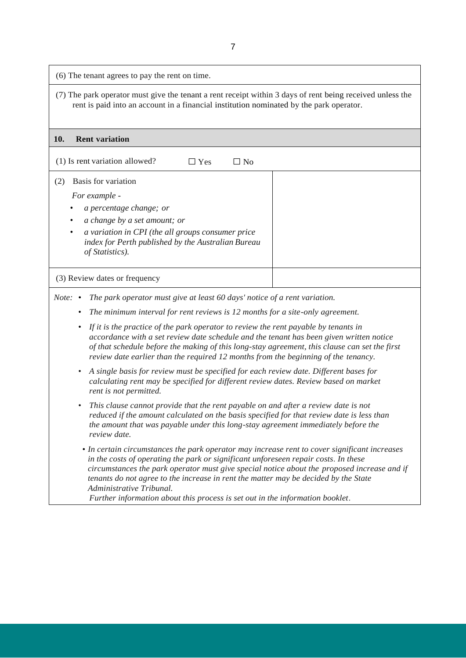| (6) The tenant agrees to pay the rent on time.                                                                                                                                                                                                                                                                                                                                                                                                                                          |  |  |
|-----------------------------------------------------------------------------------------------------------------------------------------------------------------------------------------------------------------------------------------------------------------------------------------------------------------------------------------------------------------------------------------------------------------------------------------------------------------------------------------|--|--|
| (7) The park operator must give the tenant a rent receipt within 3 days of rent being received unless the<br>rent is paid into an account in a financial institution nominated by the park operator.                                                                                                                                                                                                                                                                                    |  |  |
| 10.<br><b>Rent variation</b>                                                                                                                                                                                                                                                                                                                                                                                                                                                            |  |  |
| (1) Is rent variation allowed?<br>$\Box$ Yes<br>$\Box$ No                                                                                                                                                                                                                                                                                                                                                                                                                               |  |  |
| Basis for variation<br>(2)                                                                                                                                                                                                                                                                                                                                                                                                                                                              |  |  |
| For example -                                                                                                                                                                                                                                                                                                                                                                                                                                                                           |  |  |
| a percentage change; or                                                                                                                                                                                                                                                                                                                                                                                                                                                                 |  |  |
| a change by a set amount; or                                                                                                                                                                                                                                                                                                                                                                                                                                                            |  |  |
| a variation in CPI (the all groups consumer price<br>٠<br>index for Perth published by the Australian Bureau<br>of Statistics).                                                                                                                                                                                                                                                                                                                                                         |  |  |
| (3) Review dates or frequency                                                                                                                                                                                                                                                                                                                                                                                                                                                           |  |  |
| <i>Note:</i> $\cdot$<br>The park operator must give at least 60 days' notice of a rent variation.                                                                                                                                                                                                                                                                                                                                                                                       |  |  |
| The minimum interval for rent reviews is 12 months for a site-only agreement.<br>$\bullet$                                                                                                                                                                                                                                                                                                                                                                                              |  |  |
| If it is the practice of the park operator to review the rent payable by tenants in<br>$\bullet$<br>accordance with a set review date schedule and the tenant has been given written notice<br>of that schedule before the making of this long-stay agreement, this clause can set the first<br>review date earlier than the required 12 months from the beginning of the tenancy.                                                                                                      |  |  |
| A single basis for review must be specified for each review date. Different bases for<br>$\bullet$<br>calculating rent may be specified for different review dates. Review based on market<br>rent is not permitted.                                                                                                                                                                                                                                                                    |  |  |
| This clause cannot provide that the rent payable on and after a review date is not<br>$\bullet$<br>reduced if the amount calculated on the basis specified for that review date is less than<br>the amount that was payable under this long-stay agreement immediately before the<br>review date.                                                                                                                                                                                       |  |  |
| • In certain circumstances the park operator may increase rent to cover significant increases<br>in the costs of operating the park or significant unforeseen repair costs. In these<br>circumstances the park operator must give special notice about the proposed increase and if<br>tenants do not agree to the increase in rent the matter may be decided by the State<br>Administrative Tribunal.<br>Further information about this process is set out in the information booklet. |  |  |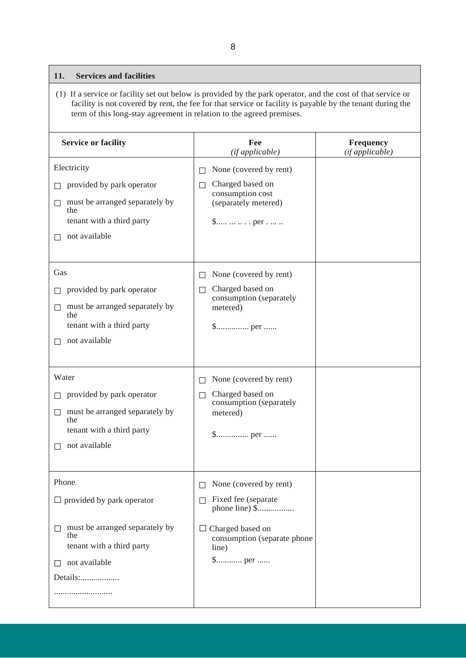## **11. Services and facilities**

(1) If a service or facility set out below is provided by the park operator, and the cost of that service or facility is not covered by rent, the fee for that service or facility is payable by the tenant during the term of this long-stay agreement in relation to the agreed premises.

| <b>Service or facility</b>                                                                                                                        | Fee<br>(if applicable)                                                                                                                                                         | Frequency<br>(if applicable) |
|---------------------------------------------------------------------------------------------------------------------------------------------------|--------------------------------------------------------------------------------------------------------------------------------------------------------------------------------|------------------------------|
| Electricity<br>provided by park operator<br>must be arranged separately by<br>the<br>tenant with a third party<br>not available                   | None (covered by rent)<br>$\Box$<br>Charged based on<br>$\mathsf{L}$<br>consumption cost<br>(separately metered)<br>$\text{\$} \dots \dots \dots \dots \text{per} \dots \dots$ |                              |
| Gas<br>provided by park operator<br>must be arranged separately by<br>$\Box$<br>the<br>tenant with a third party<br>not available                 | None (covered by rent)<br>П<br>Charged based on<br>$\Box$<br>consumption (separately<br>metered)                                                                               |                              |
| Water<br>provided by park operator<br>must be arranged separately by<br>$\Box$<br>the<br>tenant with a third party<br>not available               | None (covered by rent)<br>$\Box$<br>Charged based on<br>П<br>consumption (separately<br>metered)                                                                               |                              |
| Phone<br>$\Box$ provided by park operator<br>must be arranged separately by<br>П<br>the<br>tenant with a third party<br>not available<br>Details: | None (covered by rent)<br>Fixed fee (separate<br>П<br>$\Box$ Charged based on<br>consumption (separate phone<br>line)                                                          |                              |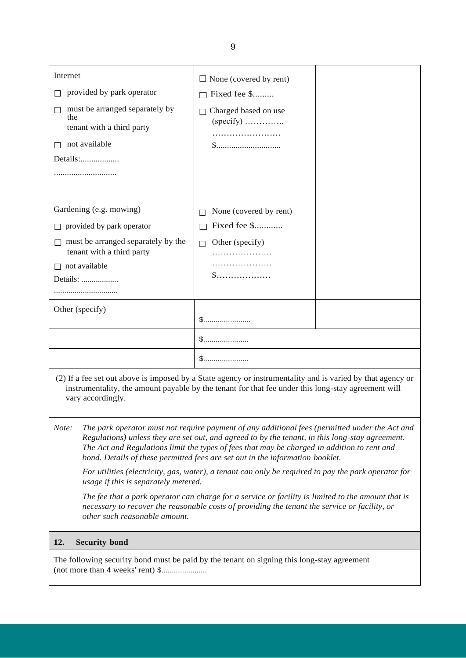| Internet                                                                                                                                                                                                                                                                                                                                                                                   | $\Box$ None (covered by rent)       |  |
|--------------------------------------------------------------------------------------------------------------------------------------------------------------------------------------------------------------------------------------------------------------------------------------------------------------------------------------------------------------------------------------------|-------------------------------------|--|
| provided by park operator<br>П.                                                                                                                                                                                                                                                                                                                                                            | $\Box$ Fixed fee \$                 |  |
| must be arranged separately by<br>$\Box$<br>the<br>tenant with a third party                                                                                                                                                                                                                                                                                                               | Charged based on use<br>$(specify)$ |  |
| not available<br>П                                                                                                                                                                                                                                                                                                                                                                         | \$                                  |  |
| Details:                                                                                                                                                                                                                                                                                                                                                                                   |                                     |  |
|                                                                                                                                                                                                                                                                                                                                                                                            |                                     |  |
|                                                                                                                                                                                                                                                                                                                                                                                            |                                     |  |
| Gardening (e.g. mowing)                                                                                                                                                                                                                                                                                                                                                                    | None (covered by rent)              |  |
| $\Box$ provided by park operator                                                                                                                                                                                                                                                                                                                                                           | Fixed fee \$<br>$\Box$              |  |
| $\Box$ must be arranged separately by the<br>tenant with a third party                                                                                                                                                                                                                                                                                                                     | Other (specify)<br>П                |  |
| $\Box$ not available                                                                                                                                                                                                                                                                                                                                                                       |                                     |  |
| Details:                                                                                                                                                                                                                                                                                                                                                                                   | \$                                  |  |
|                                                                                                                                                                                                                                                                                                                                                                                            |                                     |  |
| Other (specify)                                                                                                                                                                                                                                                                                                                                                                            |                                     |  |
|                                                                                                                                                                                                                                                                                                                                                                                            |                                     |  |
|                                                                                                                                                                                                                                                                                                                                                                                            |                                     |  |
|                                                                                                                                                                                                                                                                                                                                                                                            | \$                                  |  |
| (2) If a fee set out above is imposed by a State agency or instrumentality and is varied by that agency or<br>instrumentality, the amount payable by the tenant for that fee under this long-stay agreement will<br>vary accordingly.                                                                                                                                                      |                                     |  |
| Note:<br>The park operator must not require payment of any additional fees (permitted under the Act and<br>Regulations) unless they are set out, and agreed to by the tenant, in this long-stay agreement.<br>The Act and Regulations limit the types of fees that may be charged in addition to rent and<br>bond. Details of these permitted fees are set out in the information booklet. |                                     |  |

*For utilities (electricity, gas, water), a tenant can only be required to pay the park operator for usage if this is separately metered.*

*The fee that a park operator can charge for a service or facility is limited to the amount that is necessary to recover the reasonable costs of providing the tenant the service or facility, or other such reasonable amount.*

## **12. Security bond**

The following security bond must be paid by the tenant on signing this long-stay agreement (not more than 4 weeks' rent) \$......................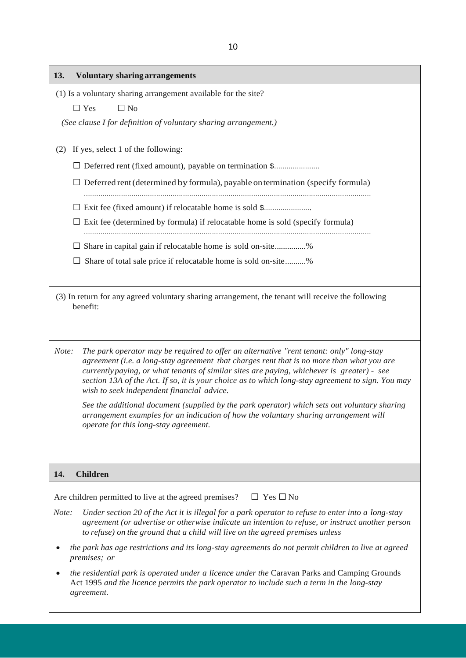| 13.<br><b>Voluntary sharing arrangements</b>                                                                                                                                                                                                                                                                                                                                                                                                   |
|------------------------------------------------------------------------------------------------------------------------------------------------------------------------------------------------------------------------------------------------------------------------------------------------------------------------------------------------------------------------------------------------------------------------------------------------|
| (1) Is a voluntary sharing arrangement available for the site?                                                                                                                                                                                                                                                                                                                                                                                 |
| $\Box$ Yes<br>$\Box$ No                                                                                                                                                                                                                                                                                                                                                                                                                        |
| (See clause I for definition of voluntary sharing arrangement.)                                                                                                                                                                                                                                                                                                                                                                                |
| If yes, select 1 of the following:<br>(2)                                                                                                                                                                                                                                                                                                                                                                                                      |
| □ Deferred rent (fixed amount), payable on termination \$                                                                                                                                                                                                                                                                                                                                                                                      |
| $\Box$ Deferred rent (determined by formula), payable on termination (specify formula)                                                                                                                                                                                                                                                                                                                                                         |
|                                                                                                                                                                                                                                                                                                                                                                                                                                                |
| $\Box$ Exit fee (determined by formula) if relocatable home is sold (specify formula)                                                                                                                                                                                                                                                                                                                                                          |
| Share in capital gain if relocatable home is sold on-site%<br>ப                                                                                                                                                                                                                                                                                                                                                                                |
| Share of total sale price if relocatable home is sold on-site%                                                                                                                                                                                                                                                                                                                                                                                 |
| (3) In return for any agreed voluntary sharing arrangement, the tenant will receive the following<br>benefit:                                                                                                                                                                                                                                                                                                                                  |
| The park operator may be required to offer an alternative "rent tenant: only" long-stay<br>Note:<br>agreement (i.e. a long-stay agreement that charges rent that is no more than what you are<br>currently paying, or what tenants of similar sites are paying, whichever is greater) - see<br>section 13A of the Act. If so, it is your choice as to which long-stay agreement to sign. You may<br>wish to seek independent financial advice. |
| See the additional document (supplied by the park operator) which sets out voluntary sharing<br>arrangement examples for an indication of how the voluntary sharing arrangement will<br>operate for this long-stay agreement.                                                                                                                                                                                                                  |
|                                                                                                                                                                                                                                                                                                                                                                                                                                                |
| 14.<br><b>Children</b>                                                                                                                                                                                                                                                                                                                                                                                                                         |
| $\Box$ Yes $\Box$ No<br>Are children permitted to live at the agreed premises?                                                                                                                                                                                                                                                                                                                                                                 |
| Note:<br>Under section 20 of the Act it is illegal for a park operator to refuse to enter into a long-stay<br>agreement (or advertise or otherwise indicate an intention to refuse, or instruct another person<br>to refuse) on the ground that a child will live on the agreed premises unless                                                                                                                                                |
| the park has age restrictions and its long-stay agreements do not permit children to live at agreed<br>premises; or                                                                                                                                                                                                                                                                                                                            |
| the residential park is operated under a licence under the Caravan Parks and Camping Grounds<br>Act 1995 and the licence permits the park operator to include such a term in the long-stay<br>agreement.                                                                                                                                                                                                                                       |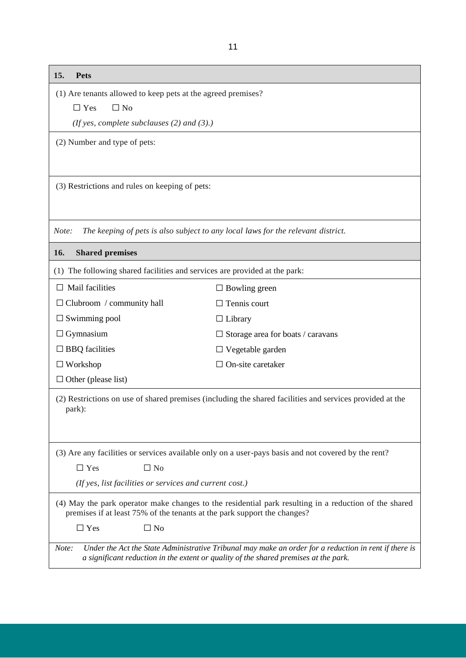| 15.<br><b>Pets</b>                                                                                                                                                                                     |                                                                                                          |  |
|--------------------------------------------------------------------------------------------------------------------------------------------------------------------------------------------------------|----------------------------------------------------------------------------------------------------------|--|
| (1) Are tenants allowed to keep pets at the agreed premises?                                                                                                                                           |                                                                                                          |  |
| $\Box$ No<br>$\Box$ Yes                                                                                                                                                                                |                                                                                                          |  |
| (If yes, complete subclauses $(2)$ and $(3)$ .)                                                                                                                                                        |                                                                                                          |  |
| (2) Number and type of pets:                                                                                                                                                                           |                                                                                                          |  |
|                                                                                                                                                                                                        |                                                                                                          |  |
| (3) Restrictions and rules on keeping of pets:                                                                                                                                                         |                                                                                                          |  |
|                                                                                                                                                                                                        |                                                                                                          |  |
| Note:                                                                                                                                                                                                  | The keeping of pets is also subject to any local laws for the relevant district.                         |  |
| <b>Shared premises</b><br>16.                                                                                                                                                                          |                                                                                                          |  |
| (1) The following shared facilities and services are provided at the park:                                                                                                                             |                                                                                                          |  |
| $\Box$ Mail facilities                                                                                                                                                                                 | $\Box$ Bowling green                                                                                     |  |
| $\Box$ Clubroom / community hall                                                                                                                                                                       | $\Box$ Tennis court                                                                                      |  |
| $\Box$ Swimming pool                                                                                                                                                                                   | $\Box$ Library                                                                                           |  |
| $\Box$ Gymnasium                                                                                                                                                                                       | $\Box$ Storage area for boats / caravans                                                                 |  |
| $\Box$ BBQ facilities                                                                                                                                                                                  | $\Box$ Vegetable garden                                                                                  |  |
| $\Box$ Workshop                                                                                                                                                                                        | $\Box$ On-site caretaker                                                                                 |  |
| $\Box$ Other (please list)                                                                                                                                                                             |                                                                                                          |  |
| park):                                                                                                                                                                                                 | (2) Restrictions on use of shared premises (including the shared facilities and services provided at the |  |
|                                                                                                                                                                                                        | (3) Are any facilities or services available only on a user-pays basis and not covered by the rent?      |  |
| $\Box$ No<br>$\Box$ Yes                                                                                                                                                                                |                                                                                                          |  |
| (If yes, list facilities or services and current cost.)                                                                                                                                                |                                                                                                          |  |
| (4) May the park operator make changes to the residential park resulting in a reduction of the shared<br>premises if at least 75% of the tenants at the park support the changes?                      |                                                                                                          |  |
| $\Box$ Yes<br>$\Box$ No                                                                                                                                                                                |                                                                                                          |  |
| Note:<br>Under the Act the State Administrative Tribunal may make an order for a reduction in rent if there is<br>a significant reduction in the extent or quality of the shared premises at the park. |                                                                                                          |  |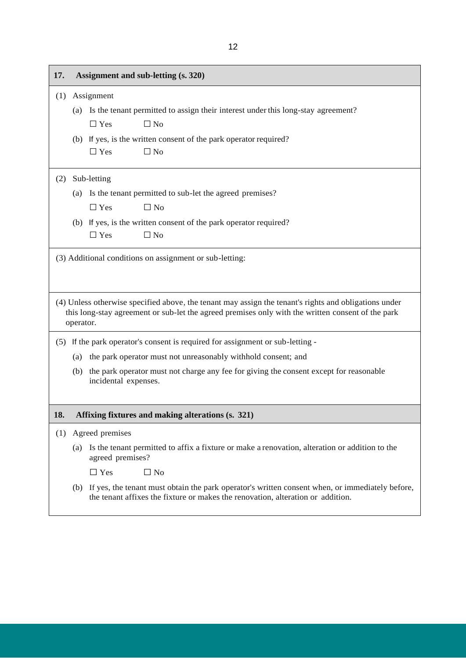| 17. |                                                         | Assignment and sub-letting (s. 320)                                                                                                                                                                        |  |
|-----|---------------------------------------------------------|------------------------------------------------------------------------------------------------------------------------------------------------------------------------------------------------------------|--|
| (1) |                                                         | Assignment                                                                                                                                                                                                 |  |
|     | (a)                                                     | Is the tenant permitted to assign their interest under this long-stay agreement?                                                                                                                           |  |
|     |                                                         | $\Box$ Yes<br>$\Box$ No                                                                                                                                                                                    |  |
|     |                                                         | (b) If yes, is the written consent of the park operator required?                                                                                                                                          |  |
|     |                                                         | $\Box$ Yes<br>$\Box$ No                                                                                                                                                                                    |  |
| (2) |                                                         | Sub-letting                                                                                                                                                                                                |  |
|     | (a)                                                     | Is the tenant permitted to sub-let the agreed premises?                                                                                                                                                    |  |
|     |                                                         | $\Box$ Yes<br>$\Box$ No                                                                                                                                                                                    |  |
|     | (b)                                                     | If yes, is the written consent of the park operator required?                                                                                                                                              |  |
|     |                                                         | $\Box$ Yes<br>$\Box$ No                                                                                                                                                                                    |  |
|     | (3) Additional conditions on assignment or sub-letting: |                                                                                                                                                                                                            |  |
|     | operator.                                               | (4) Unless otherwise specified above, the tenant may assign the tenant's rights and obligations under<br>this long-stay agreement or sub-let the agreed premises only with the written consent of the park |  |
| (5) |                                                         | If the park operator's consent is required for assignment or sub-letting -                                                                                                                                 |  |
|     | (a)                                                     | the park operator must not unreasonably withhold consent; and                                                                                                                                              |  |
|     | (b)                                                     | the park operator must not charge any fee for giving the consent except for reasonable<br>incidental expenses.                                                                                             |  |
| 18. |                                                         | Affixing fixtures and making alterations (s. 321)                                                                                                                                                          |  |
| (1) | Agreed premises                                         |                                                                                                                                                                                                            |  |
|     | (a)                                                     | Is the tenant permitted to affix a fixture or make a renovation, alteration or addition to the<br>agreed premises?                                                                                         |  |
|     |                                                         | $\Box$ Yes<br>$\Box$ No                                                                                                                                                                                    |  |
|     | (b)                                                     | If yes, the tenant must obtain the park operator's written consent when, or immediately before,<br>the tenant affixes the fixture or makes the renovation, alteration or addition.                         |  |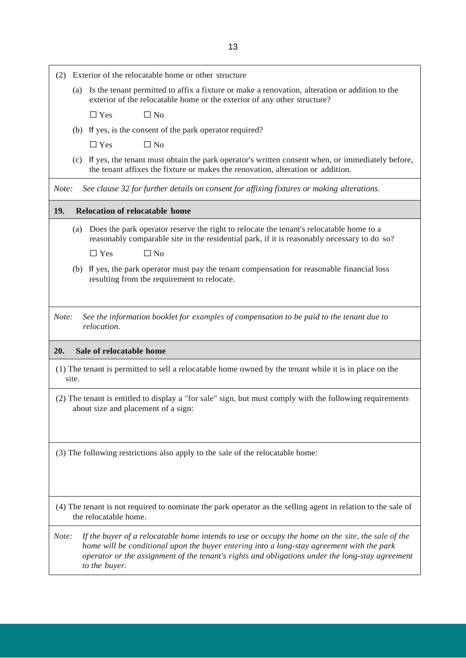| Exterior of the relocatable home or other structure<br>(2)                                                                                                                                                                                                                                                                  |  |  |
|-----------------------------------------------------------------------------------------------------------------------------------------------------------------------------------------------------------------------------------------------------------------------------------------------------------------------------|--|--|
| Is the tenant permitted to affix a fixture or make a renovation, alteration or addition to the<br>(a)<br>exterior of the relocatable home or the exterior of any other structure?                                                                                                                                           |  |  |
| $\Box$ No<br>$\Box$ Yes                                                                                                                                                                                                                                                                                                     |  |  |
| (b) If yes, is the consent of the park operator required?                                                                                                                                                                                                                                                                   |  |  |
| $\Box$ Yes<br>$\Box$ No                                                                                                                                                                                                                                                                                                     |  |  |
| If yes, the tenant must obtain the park operator's written consent when, or immediately before,<br>(c)<br>the tenant affixes the fixture or makes the renovation, alteration or addition.                                                                                                                                   |  |  |
| See clause 32 for further details on consent for affixing fixtures or making alterations.<br>Note:                                                                                                                                                                                                                          |  |  |
| 19.<br><b>Relocation of relocatable home</b>                                                                                                                                                                                                                                                                                |  |  |
| Does the park operator reserve the right to relocate the tenant's relocatable home to a<br>(a)<br>reasonably comparable site in the residential park, if it is reasonably necessary to do so?                                                                                                                               |  |  |
| $\Box$ Yes<br>$\Box$ No                                                                                                                                                                                                                                                                                                     |  |  |
| If yes, the park operator must pay the tenant compensation for reasonable financial loss<br>(b)<br>resulting from the requirement to relocate.                                                                                                                                                                              |  |  |
|                                                                                                                                                                                                                                                                                                                             |  |  |
| See the information booklet for examples of compensation to be paid to the tenant due to<br>Note:<br>relocation.                                                                                                                                                                                                            |  |  |
| 20.<br>Sale of relocatable home                                                                                                                                                                                                                                                                                             |  |  |
| (1) The tenant is permitted to sell a relocatable home owned by the tenant while it is in place on the<br>site.                                                                                                                                                                                                             |  |  |
| (2) The tenant is entitled to display a "for sale" sign, but must comply with the following requirements<br>about size and placement of a sign:                                                                                                                                                                             |  |  |
| (3) The following restrictions also apply to the sale of the relocatable home:                                                                                                                                                                                                                                              |  |  |
| (4) The tenant is not required to nominate the park operator as the selling agent in relation to the sale of<br>the relocatable home.                                                                                                                                                                                       |  |  |
| If the buyer of a relocatable home intends to use or occupy the home on the site, the sale of the<br>Note:<br>home will be conditional upon the buyer entering into a long-stay agreement with the park<br>operator or the assignment of the tenant's rights and obligations under the long-stay agreement<br>to the buyer. |  |  |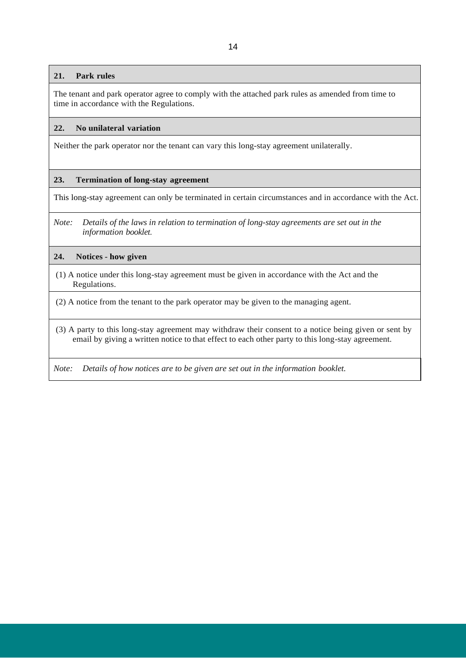#### **21. Park rules**

The tenant and park operator agree to comply with the attached park rules as amended from time to time in accordance with the Regulations.

#### **22. No unilateral variation**

Neither the park operator nor the tenant can vary this long-stay agreement unilaterally.

#### **23. Termination of long-stay agreement**

This long-stay agreement can only be terminated in certain circumstances and in accordance with the Act.

*Note: Details of the laws in relation to termination of long-stay agreements are set out in the information booklet.*

#### **24. Notices** - **how given**

(1) A notice under this long-stay agreement must be given in accordance with the Act and the Regulations.

(2) A notice from the tenant to the park operator may be given to the managing agent.

(3) A party to this long-stay agreement may withdraw their consent to a notice being given or sent by email by giving a written notice to that effect to each other party to this long-stay agreement.

*Note: Details of how notices are to be given are set out in the information booklet.*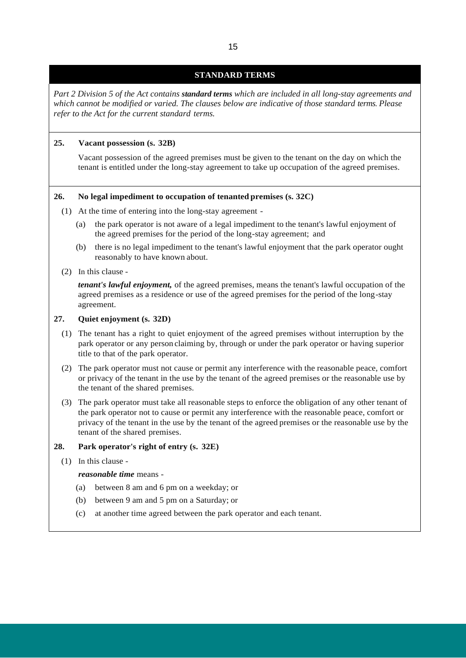## **STANDARD TERMS**

*Part 2 Division 5 of the Act contains standard terms which are included in all long-stay agreements and which cannot be modified or varied. The clauses below are indicative of those standard terms. Please refer to the Act for the current standard terms.*

## **25. Vacant possession (s. 32B)**

Vacant possession of the agreed premises must be given to the tenant on the day on which the tenant is entitled under the long-stay agreement to take up occupation of the agreed premises.

#### **26. No legal impediment to occupation of tenanted premises (s. 32C)**

- (1) At the time of entering into the long-stay agreement
	- (a) the park operator is not aware of a legal impediment to the tenant's lawful enjoyment of the agreed premises for the period of the long-stay agreement; and
	- (b) there is no legal impediment to the tenant's lawful enjoyment that the park operator ought reasonably to have known about.

#### (2) In this clause -

*tenant's lawful enjoyment,* of the agreed premises, means the tenant's lawful occupation of the agreed premises as a residence or use of the agreed premises for the period of the long-stay agreement.

#### **27. Quiet enjoyment (s. 32D)**

- (1) The tenant has a right to quiet enjoyment of the agreed premises without interruption by the park operator or any person claiming by, through or under the park operator or having superior title to that of the park operator.
- (2) The park operator must not cause or permit any interference with the reasonable peace, comfort or privacy of the tenant in the use by the tenant of the agreed premises or the reasonable use by the tenant of the shared premises.
- (3) The park operator must take all reasonable steps to enforce the obligation of any other tenant of the park operator not to cause or permit any interference with the reasonable peace, comfort or privacy of the tenant in the use by the tenant of the agreed premises or the reasonable use by the tenant of the shared premises.

#### **28. Park operator's right of entry (s. 32E)**

(1) In this clause -

#### *reasonable time* means -

- (a) between 8 am and 6 pm on a weekday; or
- (b) between 9 am and 5 pm on a Saturday; or
- (c) at another time agreed between the park operator and each tenant.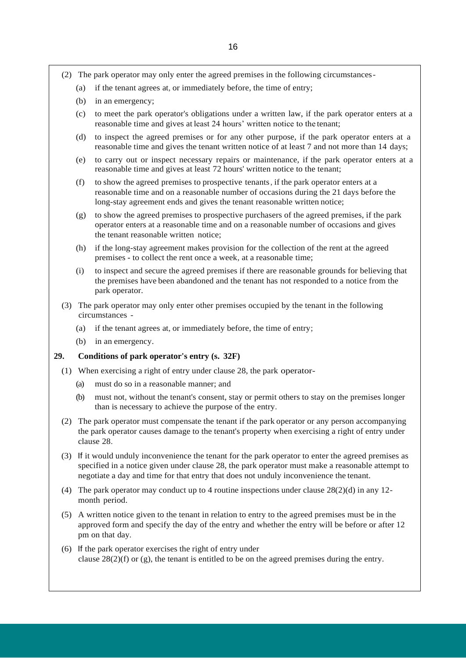- (2) The park operator may only enter the agreed premises in the following circumstances-
	- (a) if the tenant agrees at, or immediately before, the time of entry;
	- (b) in an emergency;
	- (c) to meet the park operator's obligations under a written law, if the park operator enters at a reasonable time and gives at least 24 hours' written notice to the tenant;
	- (d) to inspect the agreed premises or for any other purpose, if the park operator enters at a reasonable time and gives the tenant written notice of at least 7 and not more than 14 days;
	- (e) to carry out or inspect necessary repairs or maintenance, if the park operator enters at a reasonable time and gives at least 72 hours' written notice to the tenant;
	- (f) to show the agreed premises to prospective tenants, if the park operator enters at a reasonable time and on a reasonable number of occasions during the 21 days before the long-stay agreement ends and gives the tenant reasonable written notice;
	- (g) to show the agreed premises to prospective purchasers of the agreed premises, if the park operator enters at a reasonable time and on a reasonable number of occasions and gives the tenant reasonable written notice;
	- (h) if the long-stay agreement makes provision for the collection of the rent at the agreed premises - to collect the rent once a week, at a reasonable time;
	- (i) to inspect and secure the agreed premises if there are reasonable grounds for believing that the premises have been abandoned and the tenant has not responded to a notice from the park operator.
- (3) The park operator may only enter other premises occupied by the tenant in the following circumstances -
	- (a) if the tenant agrees at, or immediately before, the time of entry;
	- (b) in an emergency.

## **29. Conditions of park operator's entry (s. 32F)**

- (1) When exercising a right of entry under clause 28, the park operator-
	- (a) must do so in a reasonable manner; and
	- (b) must not, without the tenant's consent, stay or permit others to stay on the premises longer than is necessary to achieve the purpose of the entry.
- (2) The park operator must compensate the tenant if the park operator or any person accompanying the park operator causes damage to the tenant's property when exercising a right of entry under clause 28.
- (3) If it would unduly inconvenience the tenant for the park operator to enter the agreed premises as specified in a notice given under clause 28, the park operator must make a reasonable attempt to negotiate a day and time for that entry that does not unduly inconvenience the tenant.
- (4) The park operator may conduct up to 4 routine inspections under clause  $28(2)(d)$  in any 12month period.
- (5) A written notice given to the tenant in relation to entry to the agreed premises must be in the approved form and specify the day of the entry and whether the entry will be before or after 12 pm on that day.
- (6) If the park operator exercises the right of entry under clause  $28(2)(f)$  or (g), the tenant is entitled to be on the agreed premises during the entry.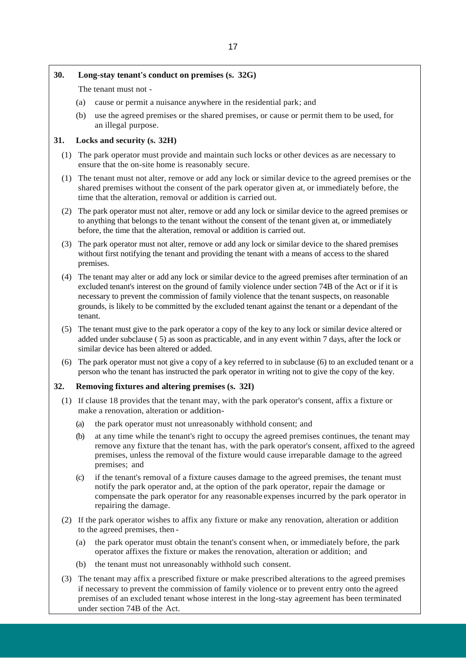#### **30. Long-stay tenant's conduct on premises (s. 32G)**

The tenant must not -

- (a) cause or permit a nuisance anywhere in the residential park; and
- (b) use the agreed premises or the shared premises, or cause or permit them to be used, for an illegal purpose.

## **31. Locks and security (s. 32H)**

- (1) The park operator must provide and maintain such locks or other devices as are necessary to ensure that the on-site home is reasonably secure.
- (1) The tenant must not alter, remove or add any lock or similar device to the agreed premises or the shared premises without the consent of the park operator given at, or immediately before, the time that the alteration, removal or addition is carried out.
- (2) The park operator must not alter, remove or add any lock or similar device to the agreed premises or to anything that belongs to the tenant without the consent of the tenant given at, or immediately before, the time that the alteration, removal or addition is carried out.
- (3) The park operator must not alter, remove or add any lock or similar device to the shared premises without first notifying the tenant and providing the tenant with a means of access to the shared premises.
- (4) The tenant may alter or add any lock or similar device to the agreed premises after termination of an excluded tenant's interest on the ground of family violence under section 74B of the Act or if it is necessary to prevent the commission of family violence that the tenant suspects, on reasonable grounds, is likely to be committed by the excluded tenant against the tenant or a dependant of the tenant.
- (5) The tenant must give to the park operator a copy of the key to any lock or similar device altered or added under subclause ( 5) as soon as practicable, and in any event within 7 days, after the lock or similar device has been altered or added.
- (6) The park operator must not give a copy of a key referred to in subclause (6) to an excluded tenant or a person who the tenant has instructed the park operator in writing not to give the copy of the key.

## **32. Removing fixtures and altering premises (s. 32I)**

- (1) If clause 18 provides that the tenant may, with the park operator's consent, affix a fixture or make a renovation, alteration or addition-
	- (a) the park operator must not unreasonably withhold consent; and
	- (b) at any time while the tenant's right to occupy the agreed premises continues, the tenant may remove any fixture that the tenant has, with the park operator's consent, affixed to the agreed premises, unless the removal of the fixture would cause irreparable damage to the agreed premises; and
	- (c) if the tenant's removal of a fixture causes damage to the agreed premises, the tenant must notify the park operator and, at the option of the park operator, repair the damage or compensate the park operator for any reasonable expenses incurred by the park operator in repairing the damage.
- (2) If the park operator wishes to affix any fixture or make any renovation, alteration or addition to the agreed premises, then -
	- (a) the park operator must obtain the tenant's consent when, or immediately before, the park operator affixes the fixture or makes the renovation, alteration or addition; and
	- (b) the tenant must not unreasonably withhold such consent.
- (3) The tenant may affix a prescribed fixture or make prescribed alterations to the agreed premises if necessary to prevent the commission of family violence or to prevent entry onto the agreed premises of an excluded tenant whose interest in the long-stay agreement has been terminated under section 74B of the Act.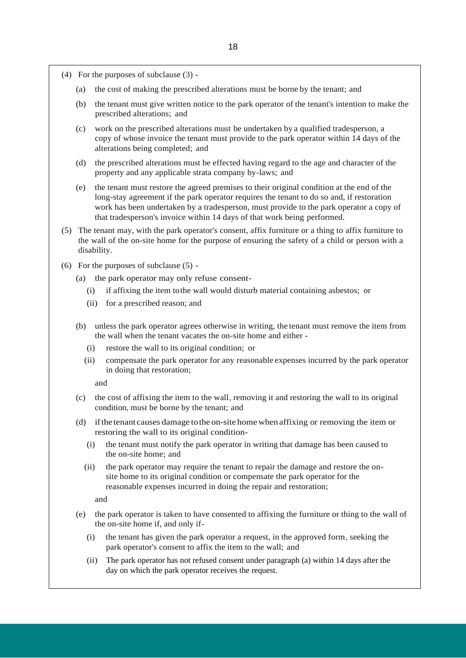- (4) For the purposes of subclause (3)
	- (a) the cost of making the prescribed alterations must be borne by the tenant; and
	- (b) the tenant must give written notice to the park operator of the tenant's intention to make the prescribed alterations; and
	- (c) work on the prescribed alterations must be undertaken by a qualified tradesperson, a copy of whose invoice the tenant must provide to the park operator within 14 days of the alterations being completed; and
	- (d) the prescribed alterations must be effected having regard to the age and character of the property and any applicable strata company by-laws; and
	- (e) the tenant must restore the agreed premises to their original condition at the end of the long-stay agreement if the park operator requires the tenant to do so and, if restoration work has been undertaken by a tradesperson, must provide to the park operator a copy of that tradesperson's invoice within 14 days of that work being performed.
- (5) The tenant may, with the park operator's consent, affix furniture or a thing to affix furniture to the wall of the on-site home for the purpose of ensuring the safety of a child or person with a disability.
- (6) For the purposes of subclause (5)
	- (a) the park operator may only refuse consent-
		- (i) if affixing the item tothe wall would disturb material containing asbestos; or
		- (ii) for a prescribed reason; and
	- (b) unless the park operator agrees otherwise in writing, the tenant must remove the item from the wall when the tenant vacates the on-site home and either -
		- (i) restore the wall to its original condition; or
		- (ii) compensate the park operator for any reasonable expenses incurred by the park operator in doing that restoration;

and

- (c) the cost of affixing the item to the wall, removing it and restoring the wall to its original condition, must be borne by the tenant; and
- (d) ifthe tenant causes damage tothe on-site homewhen affixing or removing the item or restoring the wall to its original condition-
	- (i) the tenant must notify the park operator in writing that damage has been caused to the on-site home; and
	- (ii) the park operator may require the tenant to repair the damage and restore the onsite home to its original condition or compensate the park operator for the reasonable expenses incurred in doing the repair and restoration;

and

- (e) the park operator is taken to have consented to affixing the furniture or thing to the wall of the on-site home if, and only if-
	- (i) the tenant has given the park operator a request, in the approved form, seeking the park operator's consent to affix the item to the wall; and
	- (ii) The park operator has not refused consent under paragraph (a) within 14 days after the day on which the park operator receives the request.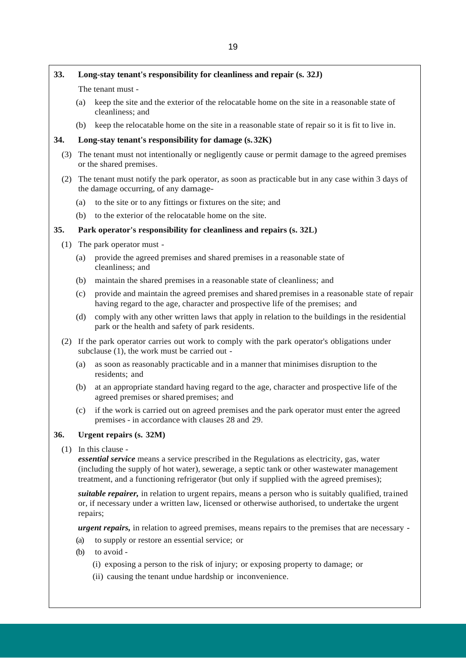## **33. Long-stay tenant's responsibility for cleanliness and repair (s. 32J)**

The tenant must -

- (a) keep the site and the exterior of the relocatable home on the site in a reasonable state of cleanliness; and
- (b) keep the relocatable home on the site in a reasonable state of repair so it is fit to live in.

## **34. Long-stay tenant's responsibility for damage (s.32K)**

- (3) The tenant must not intentionally or negligently cause or permit damage to the agreed premises or the shared premises.
- (2) The tenant must notify the park operator, as soon as practicable but in any case within 3 days of the damage occurring, of any damage-
	- (a) to the site or to any fittings or fixtures on the site; and
	- (b) to the exterior of the relocatable home on the site.

#### **35. Park operator's responsibility for cleanliness and repairs (s. 32L)**

- (1) The park operator must
	- (a) provide the agreed premises and shared premises in a reasonable state of cleanliness; and
	- (b) maintain the shared premises in a reasonable state of cleanliness; and
	- (c) provide and maintain the agreed premises and shared premises in a reasonable state of repair having regard to the age, character and prospective life of the premises; and
	- (d) comply with any other written laws that apply in relation to the buildings in the residential park or the health and safety of park residents.
- (2) If the park operator carries out work to comply with the park operator's obligations under subclause (1), the work must be carried out -
	- (a) as soon as reasonably practicable and in a manner that minimises disruption to the residents; and
	- (b) at an appropriate standard having regard to the age, character and prospective life of the agreed premises or shared premises; and
	- (c) if the work is carried out on agreed premises and the park operator must enter the agreed premises - in accordance with clauses 28 and 29.

## **36. Urgent repairs (s. 32M)**

(1) In this clause -

*essential service* means a service prescribed in the Regulations as electricity, gas, water (including the supply of hot water), sewerage, a septic tank or other wastewater management treatment, and a functioning refrigerator (but only if supplied with the agreed premises);

*suitable repairer,* in relation to urgent repairs, means a person who is suitably qualified, trained or, if necessary under a written law, licensed or otherwise authorised, to undertake the urgent repairs;

*urgent repairs,* in relation to agreed premises, means repairs to the premises that are necessary -

- (a) to supply or restore an essential service; or
- (b) to avoid
	- (i) exposing a person to the risk of injury; or exposing property to damage; or
	- (ii) causing the tenant undue hardship or inconvenience.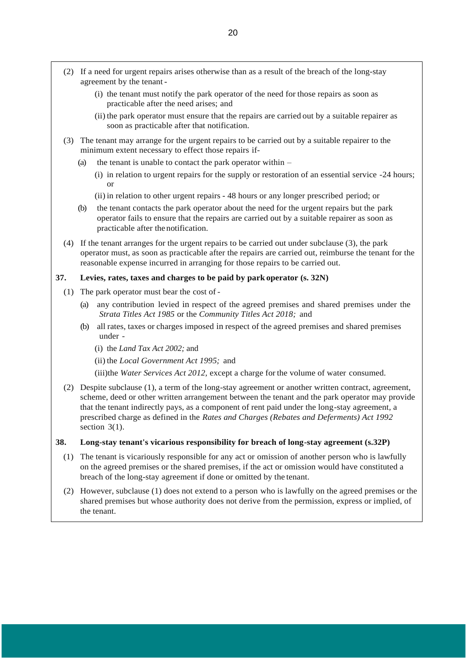- (2) If a need for urgent repairs arises otherwise than as a result of the breach of the long-stay agreement by the tenant -
	- (i) the tenant must notify the park operator of the need for those repairs as soon as practicable after the need arises; and
	- (ii) the park operator must ensure that the repairs are carried out by a suitable repairer as soon as practicable after that notification.
- (3) The tenant may arrange for the urgent repairs to be carried out by a suitable repairer to the minimum extent necessary to effect those repairs if-
	- (a) the tenant is unable to contact the park operator within  $-$ 
		- (i) in relation to urgent repairs for the supply or restoration of an essential service -24 hours; or
		- (ii) in relation to other urgent repairs 48 hours or any longer prescribed period; or
	- (b) the tenant contacts the park operator about the need for the urgent repairs but the park operator fails to ensure that the repairs are carried out by a suitable repairer as soon as practicable after the notification.
- (4) If the tenant arranges for the urgent repairs to be carried out under subclause (3), the park operator must, as soon as practicable after the repairs are carried out, reimburse the tenant for the reasonable expense incurred in arranging for those repairs to be carried out.

## **37. Levies, rates, taxes and charges to be paid by park operator (s. 32N)**

- (1) The park operator must bear the cost of
	- (a) any contribution levied in respect of the agreed premises and shared premises under the *Strata Titles Act 1985* or the *Community Titles Act 2018;* and
	- (b) all rates, taxes or charges imposed in respect of the agreed premises and shared premises under -
		- (i) the *Land Tax Act 2002;* and
		- (ii) the *Local Government Act 1995;* and
		- (iii)the *Water Services Act 2012,* except a charge for the volume of water consumed.
- (2) Despite subclause (1), a term of the long-stay agreement or another written contract, agreement, scheme, deed or other written arrangement between the tenant and the park operator may provide that the tenant indirectly pays, as a component of rent paid under the long-stay agreement, a prescribed charge as defined in the *Rates and Charges (Rebates and Deferments) Act 1992*  section  $3(1)$ .

#### **38. Long-stay tenant's vicarious responsibility for breach of long-stay agreement (s.32P)**

- (1) The tenant is vicariously responsible for any act or omission of another person who is lawfully on the agreed premises or the shared premises, if the act or omission would have constituted a breach of the long-stay agreement if done or omitted by the tenant.
- (2) However, subclause (1) does not extend to a person who is lawfully on the agreed premises or the shared premises but whose authority does not derive from the permission, express or implied, of the tenant.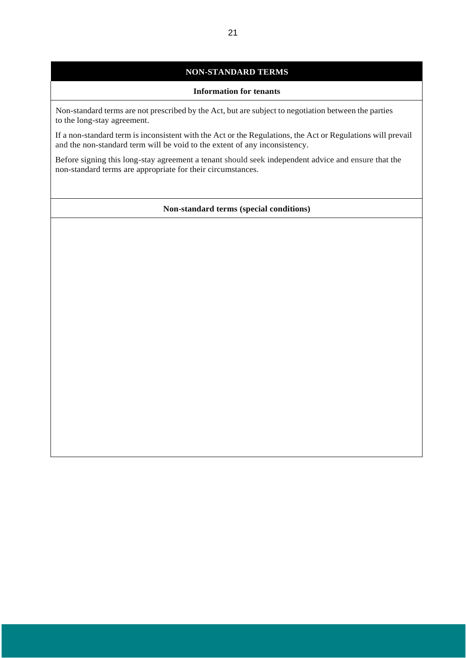## **NON-STANDARD TERMS**

## **Information for tenants**

Non-standard terms are not prescribed by the Act, but are subject to negotiation between the parties to the long-stay agreement.

If a non-standard term is inconsistent with the Act or the Regulations, the Act or Regulations will prevail and the non-standard term will be void to the extent of any inconsistency.

Before signing this long-stay agreement a tenant should seek independent advice and ensure that the non-standard terms are appropriate for their circumstances.

#### **Non-standard terms (special conditions)**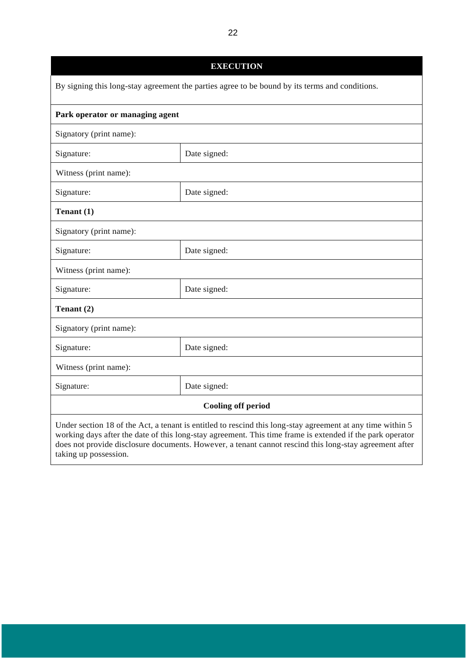| <b>EXECUTION</b>                                                                                                                                                                                                                                                                                                                                           |              |  |
|------------------------------------------------------------------------------------------------------------------------------------------------------------------------------------------------------------------------------------------------------------------------------------------------------------------------------------------------------------|--------------|--|
| By signing this long-stay agreement the parties agree to be bound by its terms and conditions.                                                                                                                                                                                                                                                             |              |  |
| Park operator or managing agent                                                                                                                                                                                                                                                                                                                            |              |  |
| Signatory (print name):                                                                                                                                                                                                                                                                                                                                    |              |  |
| Signature:                                                                                                                                                                                                                                                                                                                                                 | Date signed: |  |
| Witness (print name):                                                                                                                                                                                                                                                                                                                                      |              |  |
| Signature:                                                                                                                                                                                                                                                                                                                                                 | Date signed: |  |
| Tenant $(1)$                                                                                                                                                                                                                                                                                                                                               |              |  |
| Signatory (print name):                                                                                                                                                                                                                                                                                                                                    |              |  |
| Signature:                                                                                                                                                                                                                                                                                                                                                 | Date signed: |  |
| Witness (print name):                                                                                                                                                                                                                                                                                                                                      |              |  |
| Signature:                                                                                                                                                                                                                                                                                                                                                 | Date signed: |  |
| Tenant (2)                                                                                                                                                                                                                                                                                                                                                 |              |  |
| Signatory (print name):                                                                                                                                                                                                                                                                                                                                    |              |  |
| Signature:                                                                                                                                                                                                                                                                                                                                                 | Date signed: |  |
| Witness (print name):                                                                                                                                                                                                                                                                                                                                      |              |  |
| Signature:                                                                                                                                                                                                                                                                                                                                                 | Date signed: |  |
| <b>Cooling off period</b>                                                                                                                                                                                                                                                                                                                                  |              |  |
| Under section 18 of the Act, a tenant is entitled to rescind this long-stay agreement at any time within 5<br>working days after the date of this long-stay agreement. This time frame is extended if the park operator<br>does not provide disclosure documents. However, a tenant cannot rescind this long-stay agreement after<br>taking up possession. |              |  |